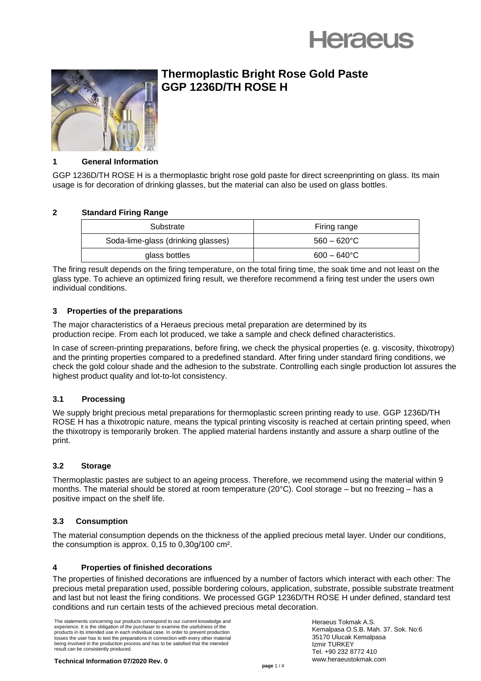



# **Thermoplastic Bright Rose Gold Paste GGP 1236D/TH ROSE H**

#### **1 General Information**

GGP 1236D/TH ROSE H is a thermoplastic bright rose gold paste for direct screenprinting on glass. Its main usage is for decoration of drinking glasses, but the material can also be used on glass bottles.

# **2 Standard Firing Range**

| Substrate                          | Firing range          |
|------------------------------------|-----------------------|
| Soda-lime-glass (drinking glasses) | $560 - 620^{\circ}$ C |
| glass bottles                      | $600 - 640^{\circ}$ C |

The firing result depends on the firing temperature, on the total firing time, the soak time and not least on the glass type. To achieve an optimized firing result, we therefore recommend a firing test under the users own individual conditions.

# **3 Properties of the preparations**

The major characteristics of a Heraeus precious metal preparation are determined by its production recipe. From each lot produced, we take a sample and check defined characteristics.

In case of screen-printing preparations, before firing, we check the physical properties (e. g. viscosity, thixotropy) and the printing properties compared to a predefined standard. After firing under standard firing conditions, we check the gold colour shade and the adhesion to the substrate. Controlling each single production lot assures the highest product quality and lot-to-lot consistency.

#### **3.1 Processing**

We supply bright precious metal preparations for thermoplastic screen printing ready to use. GGP 1236D/TH ROSE H has a thixotropic nature, means the typical printing viscosity is reached at certain printing speed, when the thixotropy is temporarily broken. The applied material hardens instantly and assure a sharp outline of the print.

# **3.2 Storage**

Thermoplastic pastes are subject to an ageing process. Therefore, we recommend using the material within 9 months. The material should be stored at room temperature (20°C). Cool storage – but no freezing – has a positive impact on the shelf life.

# **3.3 Consumption**

The material consumption depends on the thickness of the applied precious metal layer. Under our conditions, the consumption is approx. 0,15 to 0,30g/100 cm².

# **4 Properties of finished decorations**

The properties of finished decorations are influenced by a number of factors which interact with each other: The precious metal preparation used, possible bordering colours, application, substrate, possible substrate treatment and last but not least the firing conditions. We processed GGP 1236D/TH ROSE H under defined, standard test conditions and run certain tests of the achieved precious metal decoration.

The statements concerning our products correspond to our current knowledge and experience. It is the obligation of the purchaser to examine the usefulness of the products in its intended use in each individual case. In order to prevent production losses the user has to test the preparations in connection with every other material being involved in the production process and has to be satisfied that the intended result can be consistently produced.

Heraeus Tokmak A.S. Kemalpasa O.S.B. Mah. 37. Sok. No:6 35170 Ulucak Kemalpasa Izmir TURKEY Tel. +90 232 8772 410 www.heraeustokmak.com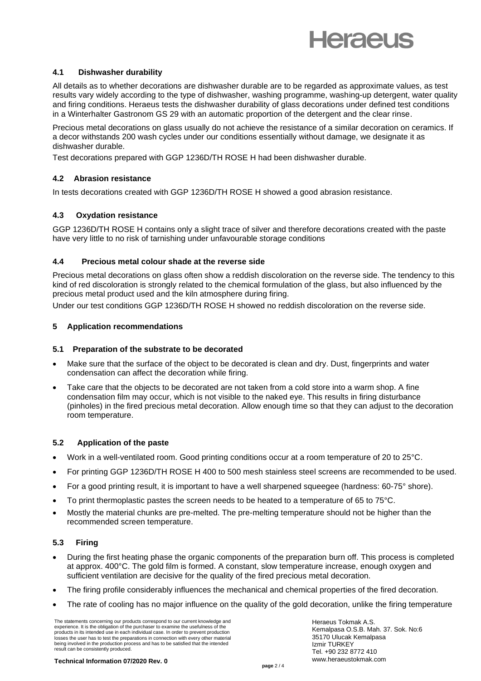

#### **4.1 Dishwasher durability**

All details as to whether decorations are dishwasher durable are to be regarded as approximate values, as test results vary widely according to the type of dishwasher, washing programme, washing-up detergent, water quality and firing conditions. Heraeus tests the dishwasher durability of glass decorations under defined test conditions in a Winterhalter Gastronom GS 29 with an automatic proportion of the detergent and the clear rinse.

Precious metal decorations on glass usually do not achieve the resistance of a similar decoration on ceramics. If a decor withstands 200 wash cycles under our conditions essentially without damage, we designate it as dishwasher durable.

Test decorations prepared with GGP 1236D/TH ROSE H had been dishwasher durable.

# **4.2 Abrasion resistance**

In tests decorations created with GGP 1236D/TH ROSE H showed a good abrasion resistance.

# **4.3 Oxydation resistance**

GGP 1236D/TH ROSE H contains only a slight trace of silver and therefore decorations created with the paste have very little to no risk of tarnishing under unfavourable storage conditions

#### **4.4 Precious metal colour shade at the reverse side**

Precious metal decorations on glass often show a reddish discoloration on the reverse side. The tendency to this kind of red discoloration is strongly related to the chemical formulation of the glass, but also influenced by the precious metal product used and the kiln atmosphere during firing.

Under our test conditions GGP 1236D/TH ROSE H showed no reddish discoloration on the reverse side.

#### **5 Application recommendations**

#### **5.1 Preparation of the substrate to be decorated**

- Make sure that the surface of the object to be decorated is clean and dry. Dust, fingerprints and water condensation can affect the decoration while firing.
- Take care that the objects to be decorated are not taken from a cold store into a warm shop. A fine condensation film may occur, which is not visible to the naked eye. This results in firing disturbance (pinholes) in the fired precious metal decoration. Allow enough time so that they can adjust to the decoration room temperature.

#### **5.2** Application of the paste

- Work in a well-ventilated room. Good printing conditions occur at a room temperature of 20 to 25°C.
- For printing GGP 1236D/TH ROSE H 400 to 500 mesh stainless steel screens are recommended to be used.
- For a good printing result, it is important to have a well sharpened squeegee (hardness: 60-75° shore).
- To print thermoplastic pastes the screen needs to be heated to a temperature of 65 to 75°C.
- Mostly the material chunks are pre-melted. The pre-melting temperature should not be higher than the recommended screen temperature.

#### **5.3 Firing**

- During the first heating phase the organic components of the preparation burn off. This process is completed at approx. 400°C. The gold film is formed. A constant, slow temperature increase, enough oxygen and sufficient ventilation are decisive for the quality of the fired precious metal decoration.
- The firing profile considerably influences the mechanical and chemical properties of the fired decoration.
- The rate of cooling has no major influence on the quality of the gold decoration, unlike the firing temperature

The statements concerning our products correspond to our current knowledge and experience. It is the obligation of the purchaser to examine the usefulness of the products in its intended use in each individual case. In order to prevent production losses the user has to test the preparations in connection with every other material being involved in the production process and has to be satisfied that the intended result can be consistently produced.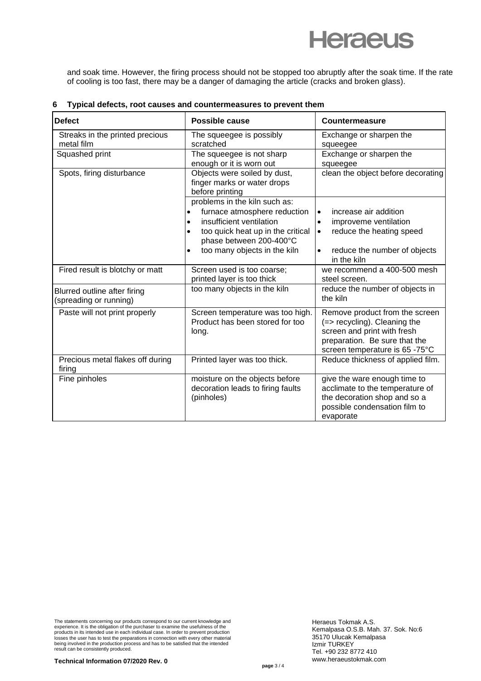# **Heraeus**

and soak time. However, the firing process should not be stopped too abruptly after the soak time. If the rate of cooling is too fast, there may be a danger of damaging the article (cracks and broken glass).

| <b>Defect</b>                                          | Possible cause                                                                                                                                                                                                                   | Countermeasure                                                                                                                                                                |
|--------------------------------------------------------|----------------------------------------------------------------------------------------------------------------------------------------------------------------------------------------------------------------------------------|-------------------------------------------------------------------------------------------------------------------------------------------------------------------------------|
| Streaks in the printed precious<br>metal film          | The squeegee is possibly<br>scratched                                                                                                                                                                                            | Exchange or sharpen the<br>squeegee                                                                                                                                           |
| Squashed print                                         | The squeegee is not sharp<br>enough or it is worn out                                                                                                                                                                            | Exchange or sharpen the<br>squeegee                                                                                                                                           |
| Spots, firing disturbance                              | Objects were soiled by dust,<br>finger marks or water drops<br>before printing                                                                                                                                                   | clean the object before decorating                                                                                                                                            |
|                                                        | problems in the kiln such as:<br>furnace atmosphere reduction<br>$\bullet$<br>insufficient ventilation<br>$\bullet$<br>too quick heat up in the critical<br>$\bullet$<br>phase between 200-400°C<br>too many objects in the kiln | increase air addition<br>$\bullet$<br>improveme ventilation<br>$\bullet$<br>reduce the heating speed<br>$\bullet$<br>reduce the number of objects<br>$\bullet$<br>in the kiln |
| Fired result is blotchy or matt                        | Screen used is too coarse;<br>printed layer is too thick                                                                                                                                                                         | we recommend a 400-500 mesh<br>steel screen.                                                                                                                                  |
| Blurred outline after firing<br>(spreading or running) | too many objects in the kiln                                                                                                                                                                                                     | reduce the number of objects in<br>the kiln                                                                                                                                   |
| Paste will not print properly                          | Screen temperature was too high.<br>Product has been stored for too<br>long.                                                                                                                                                     | Remove product from the screen<br>(=> recycling). Cleaning the<br>screen and print with fresh<br>preparation. Be sure that the<br>screen temperature is 65 -75°C              |
| Precious metal flakes off during<br>firing             | Printed layer was too thick.                                                                                                                                                                                                     | Reduce thickness of applied film.                                                                                                                                             |
| Fine pinholes                                          | moisture on the objects before<br>decoration leads to firing faults<br>(pinholes)                                                                                                                                                | give the ware enough time to<br>acclimate to the temperature of<br>the decoration shop and so a<br>possible condensation film to<br>evaporate                                 |

#### **6 Typical defects, root causes and countermeasures to prevent them**

The statements concerning our products correspond to our current knowledge and<br>experience. It is the obligation of the purchaser to examine the usefulness of the<br>products in its intended use in each individual case. In ord being involved in the production process and has to be satisfied that the intended result can be consistently produced.